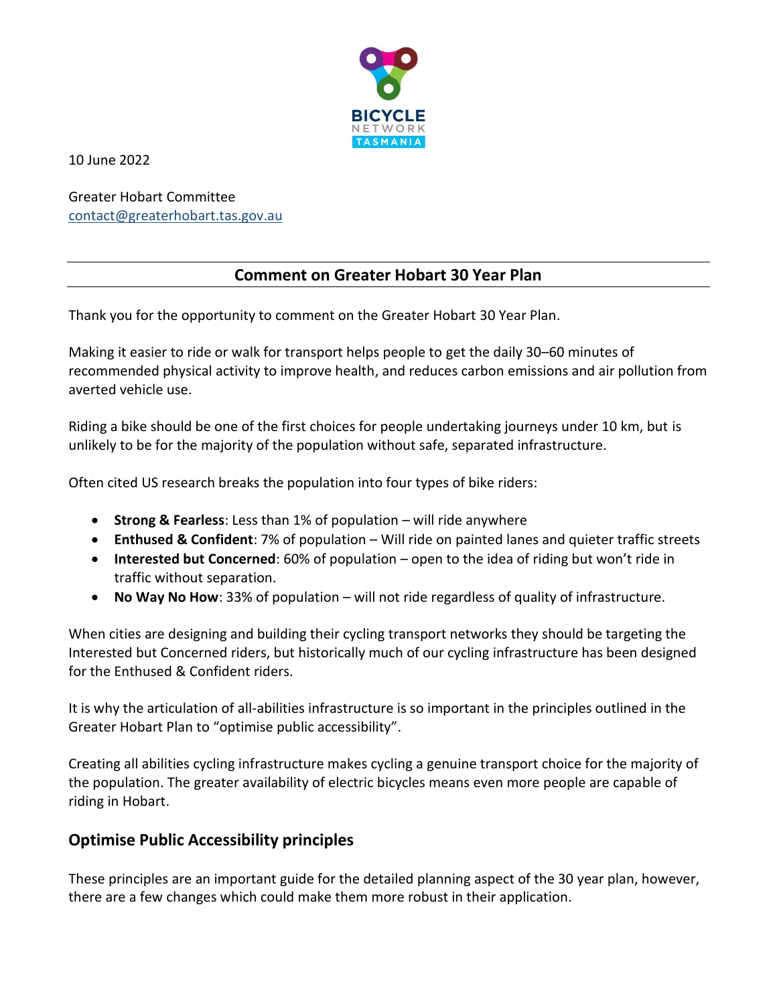

10 June 2022

Greater Hobart Committee [contact@greaterhobart.tas.gov.au](mailto:contact@greaterhobart.tas.gov.au)

# **Comment on Greater Hobart 30 Year Plan**

Thank you for the opportunity to comment on the Greater Hobart 30 Year Plan.

Making it easier to ride or walk for transport helps people to get the daily 30–60 minutes of recommended physical activity to improve health, and reduces carbon emissions and air pollution from averted vehicle use.

Riding a bike should be one of the first choices for people undertaking journeys under 10 km, but is unlikely to be for the majority of the population without safe, separated infrastructure.

Often cited US research breaks the population into four types of bike riders:

- **Strong & Fearless**: Less than 1% of population will ride anywhere
- **Enthused & Confident**: 7% of population Will ride on painted lanes and quieter traffic streets
- **Interested but Concerned**: 60% of population open to the idea of riding but won't ride in traffic without separation.
- **No Way No How**: 33% of population will not ride regardless of quality of infrastructure.

When cities are designing and building their cycling transport networks they should be targeting the Interested but Concerned riders, but historically much of our cycling infrastructure has been designed for the Enthused & Confident riders.

It is why the articulation of all-abilities infrastructure is so important in the principles outlined in the Greater Hobart Plan to "optimise public accessibility".

Creating all abilities cycling infrastructure makes cycling a genuine transport choice for the majority of the population. The greater availability of electric bicycles means even more people are capable of riding in Hobart.

# **Optimise Public Accessibility principles**

These principles are an important guide for the detailed planning aspect of the 30 year plan, however, there are a few changes which could make them more robust in their application.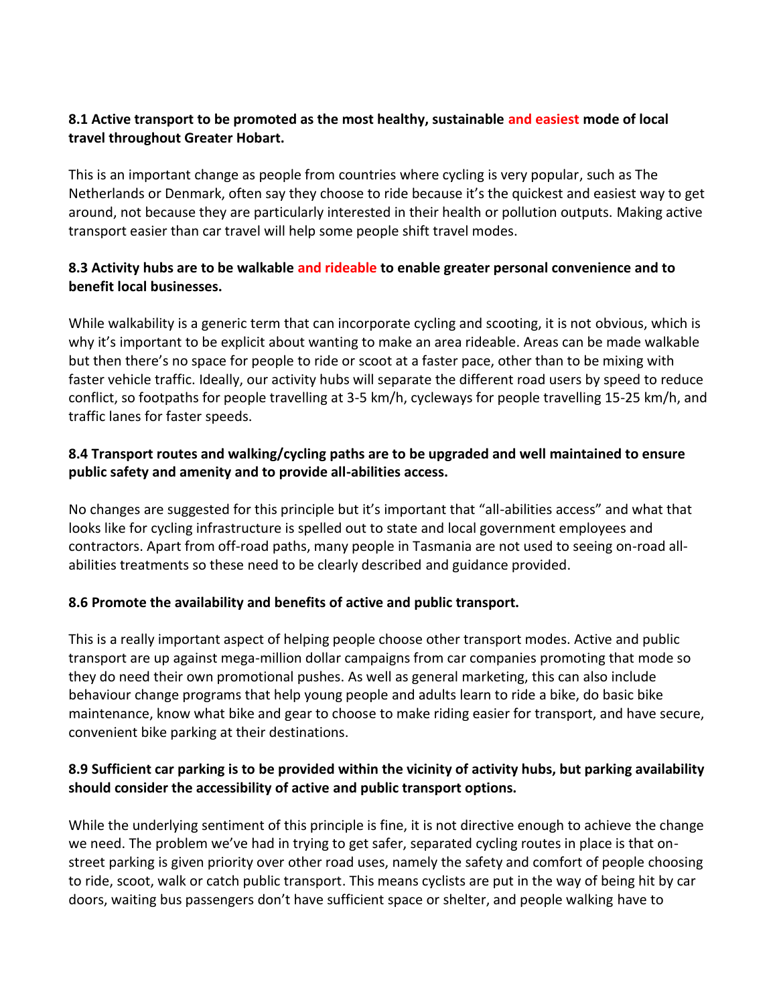#### **8.1 Active transport to be promoted as the most healthy, sustainable and easiest mode of local travel throughout Greater Hobart.**

This is an important change as people from countries where cycling is very popular, such as The Netherlands or Denmark, often say they choose to ride because it's the quickest and easiest way to get around, not because they are particularly interested in their health or pollution outputs. Making active transport easier than car travel will help some people shift travel modes.

## **8.3 Activity hubs are to be walkable and rideable to enable greater personal convenience and to benefit local businesses.**

While walkability is a generic term that can incorporate cycling and scooting, it is not obvious, which is why it's important to be explicit about wanting to make an area rideable. Areas can be made walkable but then there's no space for people to ride or scoot at a faster pace, other than to be mixing with faster vehicle traffic. Ideally, our activity hubs will separate the different road users by speed to reduce conflict, so footpaths for people travelling at 3-5 km/h, cycleways for people travelling 15-25 km/h, and traffic lanes for faster speeds.

## **8.4 Transport routes and walking/cycling paths are to be upgraded and well maintained to ensure public safety and amenity and to provide all-abilities access.**

No changes are suggested for this principle but it's important that "all-abilities access" and what that looks like for cycling infrastructure is spelled out to state and local government employees and contractors. Apart from off-road paths, many people in Tasmania are not used to seeing on-road allabilities treatments so these need to be clearly described and guidance provided.

# **8.6 Promote the availability and benefits of active and public transport.**

This is a really important aspect of helping people choose other transport modes. Active and public transport are up against mega-million dollar campaigns from car companies promoting that mode so they do need their own promotional pushes. As well as general marketing, this can also include behaviour change programs that help young people and adults learn to ride a bike, do basic bike maintenance, know what bike and gear to choose to make riding easier for transport, and have secure, convenient bike parking at their destinations.

#### **8.9 Sufficient car parking is to be provided within the vicinity of activity hubs, but parking availability should consider the accessibility of active and public transport options.**

While the underlying sentiment of this principle is fine, it is not directive enough to achieve the change we need. The problem we've had in trying to get safer, separated cycling routes in place is that onstreet parking is given priority over other road uses, namely the safety and comfort of people choosing to ride, scoot, walk or catch public transport. This means cyclists are put in the way of being hit by car doors, waiting bus passengers don't have sufficient space or shelter, and people walking have to